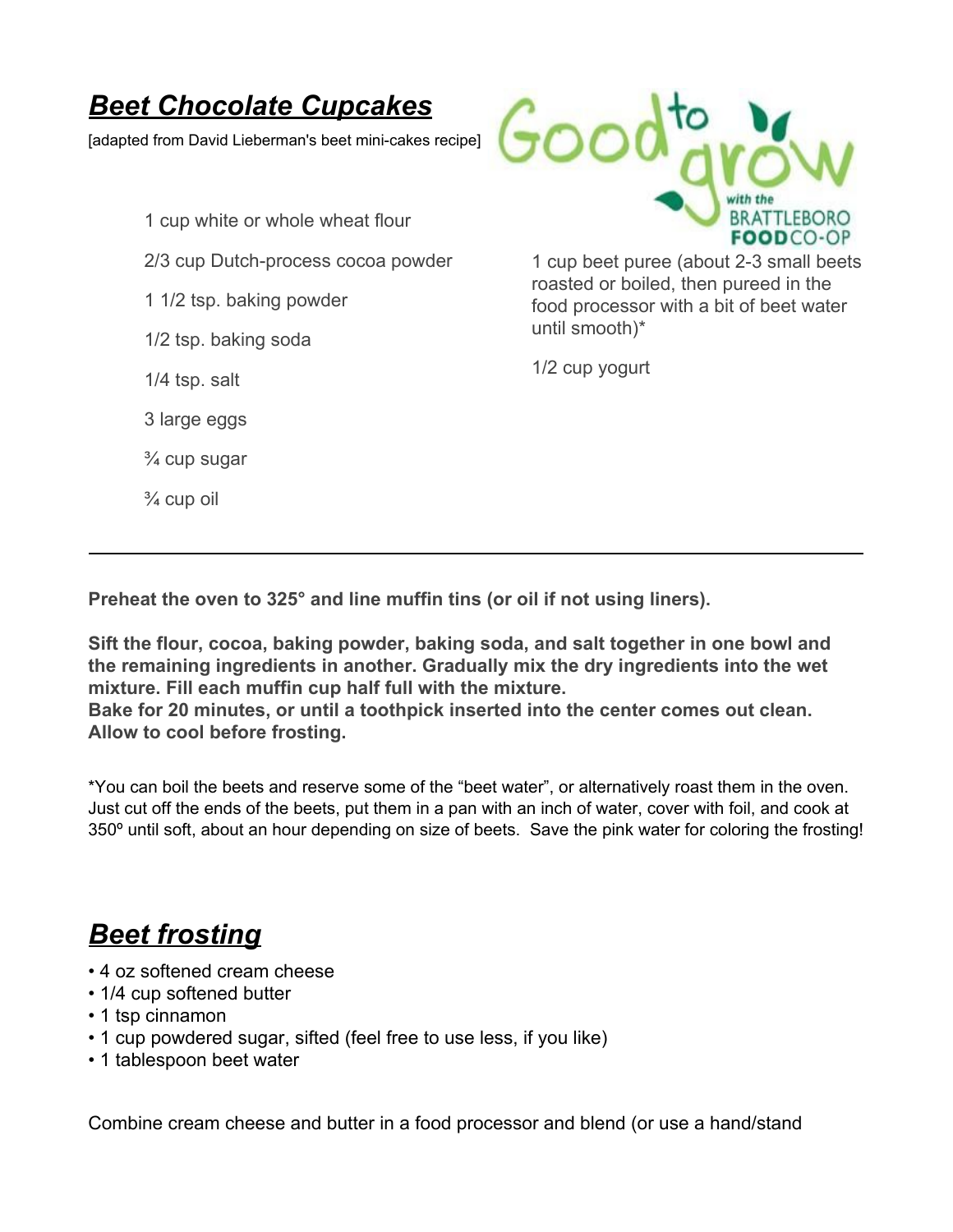## *Beet Chocolate Cupcakes*

[adapted from David Lieberman's beet mini-cakes recipe]

- 1 cup white or whole wheat flour
- 2/3 cup Dutch-process cocoa powder
- 1 1/2 tsp. baking powder
- 1/2 tsp. baking soda
- 1/4 tsp. salt
- 3 large eggs
- ¾ cup sugar
- ¾ cup oil



1 cup beet puree (about 2-3 small beets roasted or boiled, then pureed in the food processor with a bit of beet water until smooth)\*

1/2 cup yogurt

**Preheat the oven to 325° and line muffin tins (or oil if not using liners).**

**Sift the flour, cocoa, baking powder, baking soda, and salt together in one bowl and the remaining ingredients in another. Gradually mix the dry ingredients into the wet mixture. Fill each muffin cup half full with the mixture.**

**Bake for 20 minutes, or until a toothpick inserted into the center comes out clean. Allow to cool before frosting.**

\*You can boil the beets and reserve some of the "beet water", or alternatively roast them in the oven. Just cut off the ends of the beets, put them in a pan with an inch of water, cover with foil, and cook at 350º until soft, about an hour depending on size of beets. Save the pink water for coloring the frosting!

## *Beet frosting*

- 4 oz softened cream cheese
- 1/4 cup softened butter
- 1 tsp cinnamon
- 1 cup powdered sugar, sifted (feel free to use less, if you like)
- 1 tablespoon beet water

Combine cream cheese and butter in a food processor and blend (or use a hand/stand